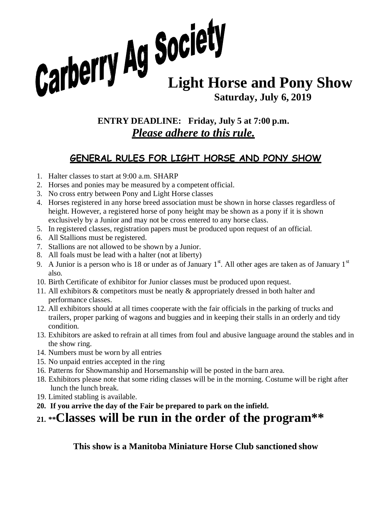# **Carberry Ag Society**<br>Light Horse and Pony Show **Saturday, July 6, 2019**

#### **ENTRY DEADLINE: Friday, July 5 at 7:00 p.m.** *Please adhere to this rule.*

#### **GENERAL RULES FOR LIGHT HORSE AND PONY SHOW**

- 1. Halter classes to start at 9:00 a.m. SHARP
- 2. Horses and ponies may be measured by a competent official.
- 3. No cross entry between Pony and Light Horse classes
- 4. Horses registered in any horse breed association must be shown in horse classes regardless of height. However, a registered horse of pony height may be shown as a pony if it is shown exclusively by a Junior and may not be cross entered to any horse class.
- 5. In registered classes, registration papers must be produced upon request of an official.
- 6. All Stallions must be registered.
- 7. Stallions are not allowed to be shown by a Junior.
- 8. All foals must be lead with a halter (not at liberty)
- 9. A Junior is a person who is 18 or under as of January  $1<sup>st</sup>$ . All other ages are taken as of January  $1<sup>st</sup>$ also.
- 10. Birth Certificate of exhibitor for Junior classes must be produced upon request.
- 11. All exhibitors & competitors must be neatly & appropriately dressed in both halter and performance classes.
- 12. All exhibitors should at all times cooperate with the fair officials in the parking of trucks and trailers, proper parking of wagons and buggies and in keeping their stalls in an orderly and tidy condition.
- 13. Exhibitors are asked to refrain at all times from foul and abusive language around the stables and in the show ring.
- 14. Numbers must be worn by all entries
- 15. No unpaid entries accepted in the ring
- 16. Patterns for Showmanship and Horsemanship will be posted in the barn area.
- 18. Exhibitors please note that some riding classes will be in the morning. Costume will be right after lunch the lunch break.
- 19. Limited stabling is available.
- **20. If you arrive the day of the Fair be prepared to park on the infield.**

#### **21. \*\*Classes will be run in the order of the program\*\***

**This show is a Manitoba Miniature Horse Club sanctioned show**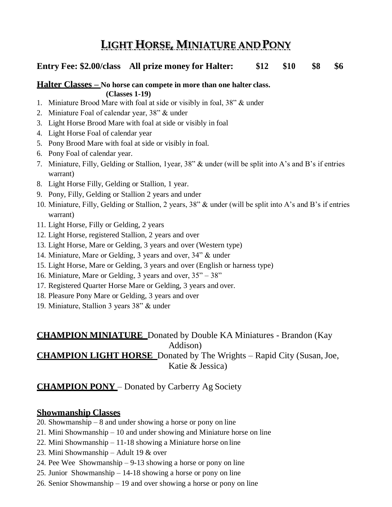### **LIGHT HORSE, MINIATURE AND PONY**

#### **Entry Fee: \$2.00/class All prize money for Halter: \$12 \$10 \$8 \$6**

#### **Halter Classes – No horse can compete in more than one halter class. (Classes 1-19)**

- 1. Miniature Brood Mare with foal at side or visibly in foal, 38" & under
- 2. Miniature Foal of calendar year, 38" & under
- 3. Light Horse Brood Mare with foal at side or visibly in foal
- 4. Light Horse Foal of calendar year
- 5. Pony Brood Mare with foal at side or visibly in foal.
- 6. Pony Foal of calendar year.
- 7. Miniature, Filly, Gelding or Stallion, 1year, 38" & under (will be split into A's and B's if entries warrant)
- 8. Light Horse Filly, Gelding or Stallion, 1 year.
- 9. Pony, Filly, Gelding or Stallion 2 years and under
- 10. Miniature, Filly, Gelding or Stallion, 2 years, 38" & under (will be split into A's and B's if entries warrant)
- 11. Light Horse, Filly or Gelding, 2 years
- 12. Light Horse, registered Stallion, 2 years and over
- 13. Light Horse, Mare or Gelding, 3 years and over (Western type)
- 14. Miniature, Mare or Gelding, 3 years and over, 34" & under
- 15. Light Horse, Mare or Gelding, 3 years and over (English or harness type)
- 16. Miniature, Mare or Gelding, 3 years and over, 35" 38"
- 17. Registered Quarter Horse Mare or Gelding, 3 years and over.
- 18. Pleasure Pony Mare or Gelding, 3 years and over
- 19. Miniature, Stallion 3 years 38" & under

#### **CHAMPION MINIATURE** Donated by Double KA Miniatures - Brandon (Kay Addison) **CHAMPION LIGHT HORSE** Donated by The Wrights – Rapid City (Susan,Joe, Katie & Jessica)

#### **CHAMPION PONY** – Donated by Carberry Ag Society

#### **Showmanship Classes**

- 20. Showmanship 8 and under showing a horse or pony on line
- 21. Mini Showmanship 10 and under showing and Miniature horse on line
- 22. Mini Showmanship 11-18 showing a Miniature horse on line
- 23. Mini Showmanship Adult 19 & over
- 24. Pee Wee Showmanship 9-13 showing a horse or pony on line
- 25. Junior Showmanship 14-18 showing a horse or pony on line
- 26. Senior Showmanship 19 and over showing a horse or pony on line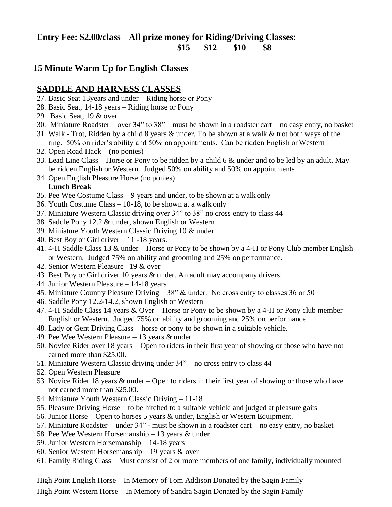#### **Entry Fee: \$2.00/class All prize money for Riding/Driving Classes: \$15 \$12 \$10 \$8**

#### **15 Minute Warm Up for English Classes**

#### **SADDLE AND HARNESS CLASSES**

- 27. Basic Seat 13years and under Riding horse or Pony
- 28. Basic Seat, 14-18 years Riding horse or Pony
- 29. Basic Seat, 19 & over
- 30. Miniature Roadster over 34" to 38" must be shown in a roadster cart no easy entry, no basket
- 31. Walk Trot, Ridden by a child 8 years & under. To be shown at a walk & trot both ways of the ring. 50% on rider's ability and 50% on appointments. Can be ridden English or Western
- 32. Open Road Hack (no ponies)
- 33. Lead Line Class Horse or Pony to be ridden by a child 6 & under and to be led by an adult. May be ridden English or Western. Judged 50% on ability and 50% on appointments
- 34. Open English Pleasure Horse (no ponies) **Lunch Break**
- 35. Pee Wee Costume Class 9 years and under, to be shown at a walk only
- 36. Youth Costume Class 10-18, to be shown at a walk only
- 37. Miniature Western Classic driving over 34" to 38" no cross entry to class 44
- 38. Saddle Pony 12.2 & under, shown English or Western
- 39. Miniature Youth Western Classic Driving 10 & under
- 40. Best Boy or Girl driver 11 -18 years.
- 41. 4-H Saddle Class 13 & under Horse or Pony to be shown by a 4-H or Pony Club member English or Western. Judged 75% on ability and grooming and 25% on performance.
- 42. Senior Western Pleasure –19 & over
- 43. Best Boy or Girl driver 10 years & under. An adult may accompany drivers.
- 44. Junior Western Pleasure 14-18 years
- 45. Miniature Country Pleasure Driving 38" & under. No cross entry to classes 36 or 50
- 46. Saddle Pony 12.2-14.2, shown English or Western
- 47. 4-H Saddle Class 14 years & Over Horse or Pony to be shown by a 4-H or Pony club member English or Western. Judged 75% on ability and grooming and 25% on performance.
- 48. Lady or Gent Driving Class horse or pony to be shown in a suitable vehicle.
- 49. Pee Wee Western Pleasure 13 years & under
- 50. Novice Rider over 18 years Open to riders in their first year of showing or those who have not earned more than \$25.00.
- 51. Miniature Western Classic driving under 34" no cross entry to class 44
- 52. Open Western Pleasure
- 53. Novice Rider 18 years & under Open to riders in their first year of showing or those who have not earned more than \$25.00.
- 54. Miniature Youth Western Classic Driving 11-18
- 55. Pleasure Driving Horse to be hitched to a suitable vehicle and judged at pleasure gaits
- 56. Junior Horse Open to horses 5 years & under, English or Western Equipment.
- 57. Miniature Roadster under 34" must be shown in a roadster cart no easy entry, no basket
- 58. Pee Wee Western Horsemanship 13 years & under
- 59. Junior Western Horsemanship 14-18 years
- 60. Senior Western Horsemanship 19 years & over
- 61. Family Riding Class Must consist of 2 or more members of one family, individually mounted

High Point English Horse – In Memory of Tom Addison Donated by the Sagin Family High Point Western Horse – In Memory of Sandra Sagin Donated by the Sagin Family